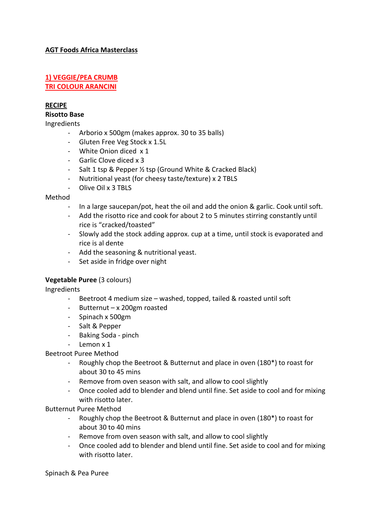## **AGT Foods Africa Masterclass**

#### **1) VEGGIE/PEA CRUMB TRI COLOUR ARANCINI**

## **RECIPE**

## **Risotto Base**

Ingredients

- Arborio x 500gm (makes approx. 30 to 35 balls)
- Gluten Free Veg Stock x 1.5L
- White Onion diced x 1
- Garlic Clove diced x 3
- Salt 1 tsp & Pepper ½ tsp (Ground White & Cracked Black)
- Nutritional yeast (for cheesy taste/texture) x 2 TBLS
- Olive Oil x 3 TBLS

#### Method

- In a large saucepan/pot, heat the oil and add the onion & garlic. Cook until soft.
- Add the risotto rice and cook for about 2 to 5 minutes stirring constantly until rice is "cracked/toasted"
- Slowly add the stock adding approx. cup at a time, until stock is evaporated and rice is al dente
- Add the seasoning & nutritional yeast.
- Set aside in fridge over night

#### **Vegetable Puree** (3 colours)

Ingredients

- Beetroot 4 medium size washed, topped, tailed & roasted until soft
- Butternut x 200gm roasted
- Spinach x 500gm
- Salt & Pepper
- Baking Soda pinch
- Lemon x 1

Beetroot Puree Method

- Roughly chop the Beetroot & Butternut and place in oven (180\*) to roast for about 30 to 45 mins
- Remove from oven season with salt, and allow to cool slightly
- Once cooled add to blender and blend until fine. Set aside to cool and for mixing with risotto later.

Butternut Puree Method

- Roughly chop the Beetroot & Butternut and place in oven (180\*) to roast for about 30 to 40 mins
- Remove from oven season with salt, and allow to cool slightly
- Once cooled add to blender and blend until fine. Set aside to cool and for mixing with risotto later.

Spinach & Pea Puree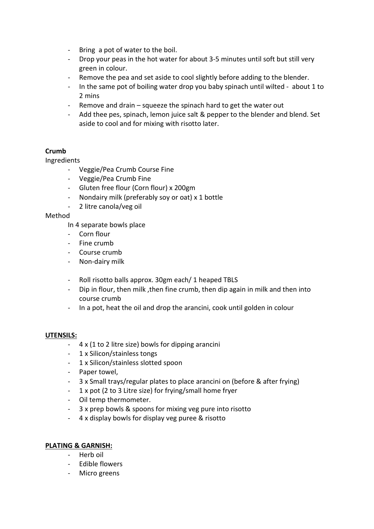- Bring a pot of water to the boil.
- Drop your peas in the hot water for about 3-5 minutes until soft but still very green in colour.
- Remove the pea and set aside to cool slightly before adding to the blender.
- In the same pot of boiling water drop you baby spinach until wilted about 1 to 2 mins
- Remove and drain squeeze the spinach hard to get the water out
- Add thee pes, spinach, lemon juice salt & pepper to the blender and blend. Set aside to cool and for mixing with risotto later.

# **Crumb**

# Ingredients

- Veggie/Pea Crumb Course Fine
- Veggie/Pea Crumb Fine
- Gluten free flour (Corn flour) x 200gm
- Nondairy milk (preferably soy or oat) x 1 bottle
- 2 litre canola/veg oil

## Method

In 4 separate bowls place

- Corn flour
- Fine crumb
- Course crumb
- Non-dairy milk
- Roll risotto balls approx. 30gm each/ 1 heaped TBLS
- Dip in flour, then milk ,then fine crumb, then dip again in milk and then into course crumb
- In a pot, heat the oil and drop the arancini, cook until golden in colour

# **UTENSILS:**

- $4 \times (1 \text{ to } 2 \text{ litre size})$  bowls for dipping arancini
- 1 x Silicon/stainless tongs
- 1 x Silicon/stainless slotted spoon
- Paper towel,
- 3 x Small trays/regular plates to place arancini on (before & after frying)
- 1 x pot (2 to 3 Litre size) for frying/small home fryer
- Oil temp thermometer.
- 3 x prep bowls & spoons for mixing veg pure into risotto
- 4 x display bowls for display veg puree & risotto

# **PLATING & GARNISH:**

- Herb oil
- Edible flowers
- Micro greens